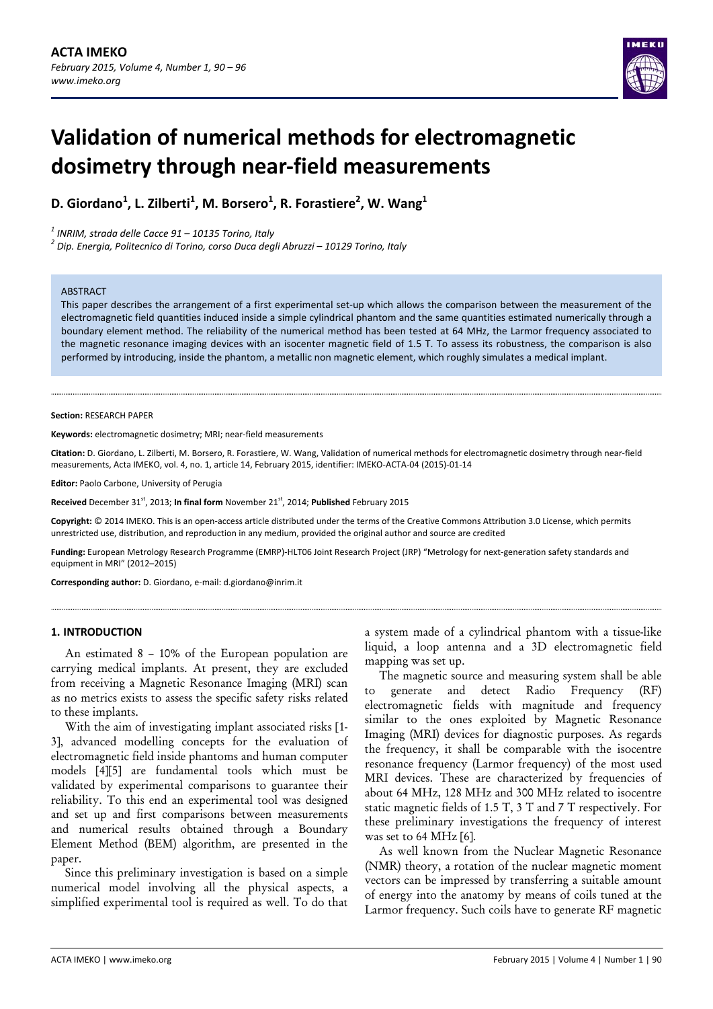

# **Validation of numerical methods for electromagnetic dosimetry through near‐field measurements**

**D. Giordano<sup>1</sup> , L. Zilberti<sup>1</sup> , M. Borsero1 , R. Forastiere<sup>2</sup> , W. Wang<sup>1</sup>**

<sup>1</sup> INRIM, strada delle Cacce 91 – 10135 Torino, Italy<br><sup>2</sup> Dip. Energia, Politecnico di Torino, corso Duca degli Abruzzi – 10129 Torino, Italy

#### ABSTRACT

This paper describes the arrangement of a first experimental set-up which allows the comparison between the measurement of the electromagnetic field quantities induced inside a simple cylindrical phantom and the same quantities estimated numerically through a boundary element method. The reliability of the numerical method has been tested at 64 MHz, the Larmor frequency associated to the magnetic resonance imaging devices with an isocenter magnetic field of 1.5 T. To assess its robustness, the comparison is also performed by introducing, inside the phantom, a metallic non magnetic element, which roughly simulates a medical implant.

#### **Section:** RESEARCH PAPER

**Keywords:** electromagnetic dosimetry; MRI; near‐field measurements

**Citation:** D. Giordano, L. Zilberti, M. Borsero, R. Forastiere, W. Wang, Validation of numerical methods for electromagnetic dosimetry through near‐field measurements, Acta IMEKO, vol. 4, no. 1, article 14, February 2015, identifier: IMEKO‐ACTA‐04 (2015)‐01‐14

**Editor:** Paolo Carbone, University of Perugia

Received December 31<sup>st</sup>, 2013; In final form November 21<sup>st</sup>, 2014; Published February 2015

**Copyright:** © 2014 IMEKO. This is an open‐access article distributed under the terms of the Creative Commons Attribution 3.0 License, which permits unrestricted use, distribution, and reproduction in any medium, provided the original author and source are credited

**Funding:** European Metrology Research Programme (EMRP)‐HLT06 Joint Research Project (JRP) "Metrology for next‐generation safety standards and equipment in MRI" (2012–2015)

**Corresponding author:** D. Giordano, e‐mail: d.giordano@inrim.it

#### **1. INTRODUCTION**

An estimated 8 – 10% of the European population are carrying medical implants. At present, they are excluded from receiving a Magnetic Resonance Imaging (MRI) scan as no metrics exists to assess the specific safety risks related to these implants.

With the aim of investigating implant associated risks [1- 3], advanced modelling concepts for the evaluation of electromagnetic field inside phantoms and human computer models [4][5] are fundamental tools which must be validated by experimental comparisons to guarantee their reliability. To this end an experimental tool was designed and set up and first comparisons between measurements and numerical results obtained through a Boundary Element Method (BEM) algorithm, are presented in the paper.

Since this preliminary investigation is based on a simple numerical model involving all the physical aspects, a simplified experimental tool is required as well. To do that a system made of a cylindrical phantom with a tissue-like liquid, a loop antenna and a 3D electromagnetic field mapping was set up.

The magnetic source and measuring system shall be able to generate and detect Radio Frequency (RF) electromagnetic fields with magnitude and frequency similar to the ones exploited by Magnetic Resonance Imaging (MRI) devices for diagnostic purposes. As regards the frequency, it shall be comparable with the isocentre resonance frequency (Larmor frequency) of the most used MRI devices. These are characterized by frequencies of about 64 MHz, 128 MHz and 300 MHz related to isocentre static magnetic fields of 1.5 T, 3 T and 7 T respectively. For these preliminary investigations the frequency of interest was set to 64 MHz [6].

As well known from the Nuclear Magnetic Resonance (NMR) theory, a rotation of the nuclear magnetic moment vectors can be impressed by transferring a suitable amount of energy into the anatomy by means of coils tuned at the Larmor frequency. Such coils have to generate RF magnetic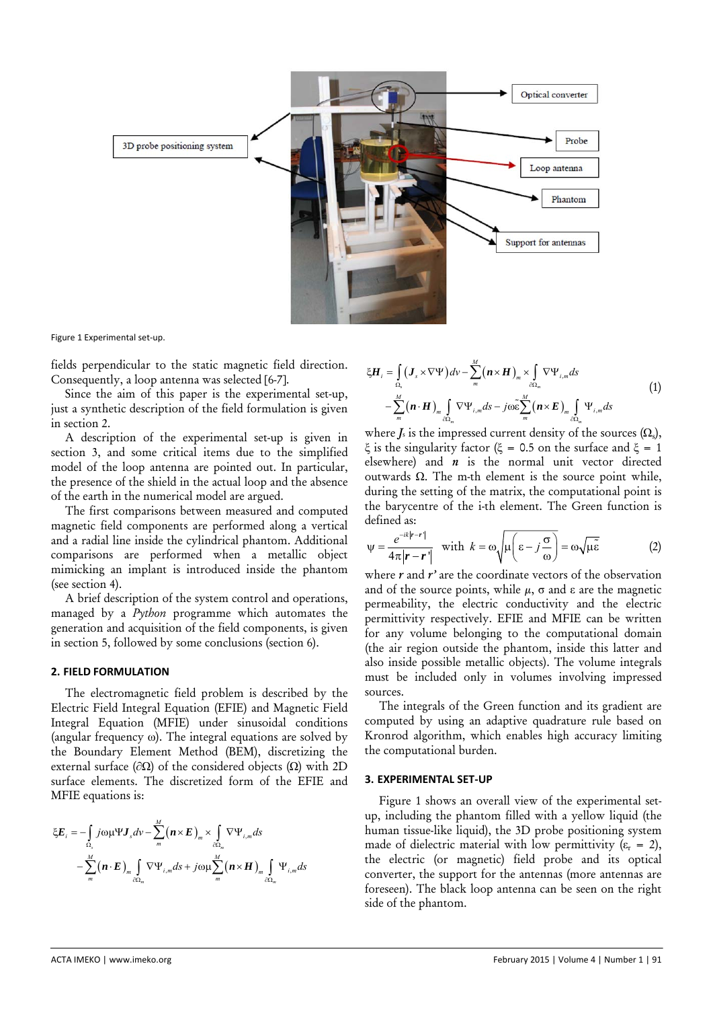

Figure 1 Experimental set‐up.

fields perpendicular to the static magnetic field direction. Consequently, a loop antenna was selected [6-7].

Since the aim of this paper is the experimental set-up, just a synthetic description of the field formulation is given in section 2.

A description of the experimental set-up is given in section 3, and some critical items due to the simplified model of the loop antenna are pointed out. In particular, the presence of the shield in the actual loop and the absence of the earth in the numerical model are argued.

The first comparisons between measured and computed magnetic field components are performed along a vertical and a radial line inside the cylindrical phantom. Additional comparisons are performed when a metallic object mimicking an implant is introduced inside the phantom (see section 4).

A brief description of the system control and operations, managed by a *Python* programme which automates the generation and acquisition of the field components, is given in section 5, followed by some conclusions (section 6).

# **2. FIELD FORMULATION**

The electromagnetic field problem is described by the Electric Field Integral Equation (EFIE) and Magnetic Field Integral Equation (MFIE) under sinusoidal conditions (angular frequency ω). The integral equations are solved by the Boundary Element Method (BEM), discretizing the external surface ( $\partial$ Ω) of the considered objects (Ω) with 2D surface elements. The discretized form of the EFIE and MFIE equations is:

$$
\xi E_i = -\int_{\Omega_s} j \omega \mu \Psi J_s dv - \sum_{m}^{M} (\boldsymbol{n} \times \boldsymbol{E})_m \times \int_{\partial \Omega_m} \nabla \Psi_{i,m} ds
$$

$$
- \sum_{m}^{M} (\boldsymbol{n} \cdot \boldsymbol{E})_m \int_{\partial \Omega_m} \nabla \Psi_{i,m} ds + j \omega \mu \sum_{m}^{M} (\boldsymbol{n} \times \boldsymbol{H})_m \int_{\partial \Omega_m} \Psi_{i,m} ds
$$

$$
\xi \mathbf{H}_{i} = \int_{\Omega_{\text{s}}} (\mathbf{J}_{s} \times \nabla \Psi) d\nu - \sum_{m}^{M} (\mathbf{n} \times \mathbf{H})_{m} \times \int_{\partial \Omega_{m}} \nabla \Psi_{i,m} ds - \sum_{m}^{M} (\mathbf{n} \cdot \mathbf{H})_{m} \int_{\partial \Omega_{m}} \nabla \Psi_{i,m} ds - j \omega \tilde{\epsilon} \sum_{m}^{M} (\mathbf{n} \times \mathbf{E})_{m} \int_{\partial \Omega_{m}} \Psi_{i,m} ds
$$
\n(1)

where  $J_s$  is the impressed current density of the sources  $(\Omega_s)$ , ξ is the singularity factor (ξ = 0.5 on the surface and ξ = 1 elsewhere) and *n* is the normal unit vector directed outwards Ω. The m-th element is the source point while, during the setting of the matrix, the computational point is the barycentre of the i-th element. The Green function is defined as:

$$
\psi = \frac{e^{-ik|\mathbf{r} - \mathbf{r}'|}}{4\pi|\mathbf{r} - \mathbf{r}'|} \quad \text{with} \quad k = \omega \sqrt{\mu \left(\varepsilon - j\frac{\sigma}{\omega}\right)} = \omega \sqrt{\mu \tilde{\varepsilon}} \tag{2}
$$

where *r* and *r'* are the coordinate vectors of the observation and of the source points, while  $\mu$ ,  $\sigma$  and  $\varepsilon$  are the magnetic permeability, the electric conductivity and the electric permittivity respectively. EFIE and MFIE can be written for any volume belonging to the computational domain (the air region outside the phantom, inside this latter and also inside possible metallic objects). The volume integrals must be included only in volumes involving impressed sources.

The integrals of the Green function and its gradient are computed by using an adaptive quadrature rule based on Kronrod algorithm, which enables high accuracy limiting the computational burden.

#### **3. EXPERIMENTAL SET‐UP**

Figure 1 shows an overall view of the experimental setup, including the phantom filled with a yellow liquid (the human tissue-like liquid), the 3D probe positioning system made of dielectric material with low permittivity  $(\varepsilon_r = 2)$ , the electric (or magnetic) field probe and its optical converter, the support for the antennas (more antennas are foreseen). The black loop antenna can be seen on the right side of the phantom.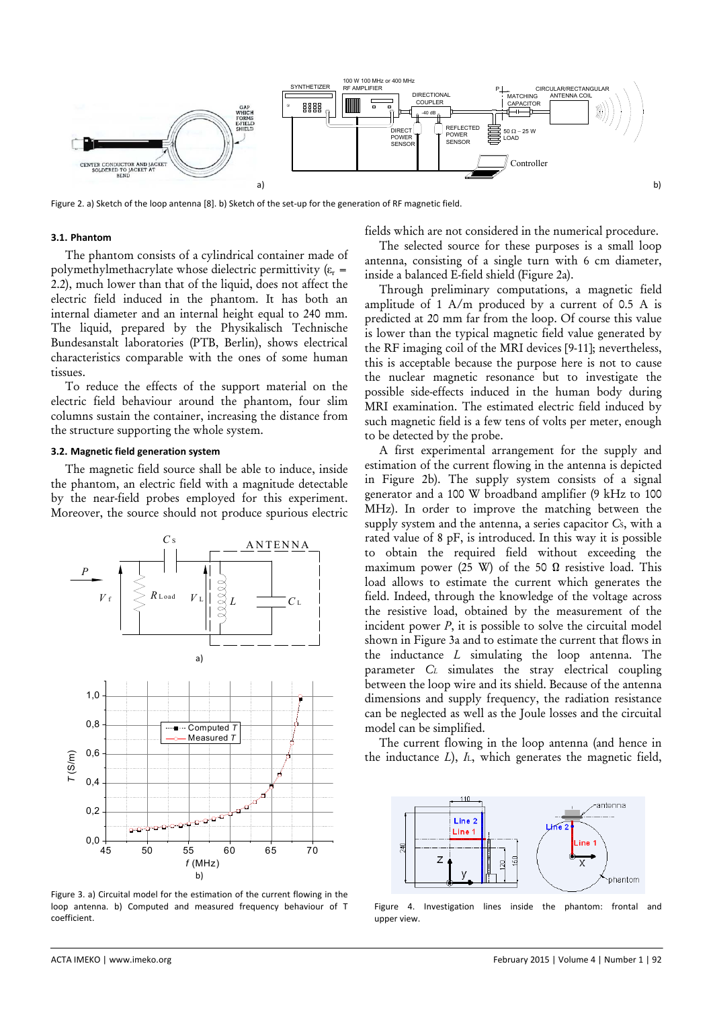

Figure 2. a) Sketch of the loop antenna [8]. b) Sketch of the set-up for the generation of RF magnetic field.

#### **3.1. Phantom**

The phantom consists of a cylindrical container made of polymethylmethacrylate whose dielectric permittivity  $(\varepsilon_r =$ 2.2), much lower than that of the liquid, does not affect the electric field induced in the phantom. It has both an internal diameter and an internal height equal to 240 mm. The liquid, prepared by the Physikalisch Technische Bundesanstalt laboratories (PTB, Berlin), shows electrical characteristics comparable with the ones of some human tissues.

To reduce the effects of the support material on the electric field behaviour around the phantom, four slim columns sustain the container, increasing the distance from the structure supporting the whole system.

## **3.2. Magnetic field generation system**

The magnetic field source shall be able to induce, inside the phantom, an electric field with a magnitude detectable by the near-field probes employed for this experiment. Moreover, the source should not produce spurious electric



Figure 3. a) Circuital model for the estimation of the current flowing in the loop antenna. b) Computed and measured frequency behaviour of T coefficient.

fields which are not considered in the numerical procedure.

The selected source for these purposes is a small loop antenna, consisting of a single turn with 6 cm diameter, inside a balanced E-field shield (Figure 2a).

Through preliminary computations, a magnetic field amplitude of 1 A/m produced by a current of 0.5 A is predicted at 20 mm far from the loop. Of course this value is lower than the typical magnetic field value generated by the RF imaging coil of the MRI devices [9-11]; nevertheless, this is acceptable because the purpose here is not to cause the nuclear magnetic resonance but to investigate the possible side-effects induced in the human body during MRI examination. The estimated electric field induced by such magnetic field is a few tens of volts per meter, enough to be detected by the probe.

A first experimental arrangement for the supply and estimation of the current flowing in the antenna is depicted in Figure 2b). The supply system consists of a signal generator and a 100 W broadband amplifier (9 kHz to 100 MHz). In order to improve the matching between the supply system and the antenna, a series capacitor *C*S, with a rated value of 8 pF, is introduced. In this way it is possible to obtain the required field without exceeding the maximum power (25 W) of the 50  $\Omega$  resistive load. This load allows to estimate the current which generates the field. Indeed, through the knowledge of the voltage across the resistive load, obtained by the measurement of the incident power *P*, it is possible to solve the circuital model shown in Figure 3a and to estimate the current that flows in the inductance *L* simulating the loop antenna. The parameter *CL* simulates the stray electrical coupling between the loop wire and its shield. Because of the antenna dimensions and supply frequency, the radiation resistance can be neglected as well as the Joule losses and the circuital model can be simplified.

The current flowing in the loop antenna (and hence in the inductance *L*), *I*L, which generates the magnetic field,



Figure 4. Investigation lines inside the phantom: frontal and upper view.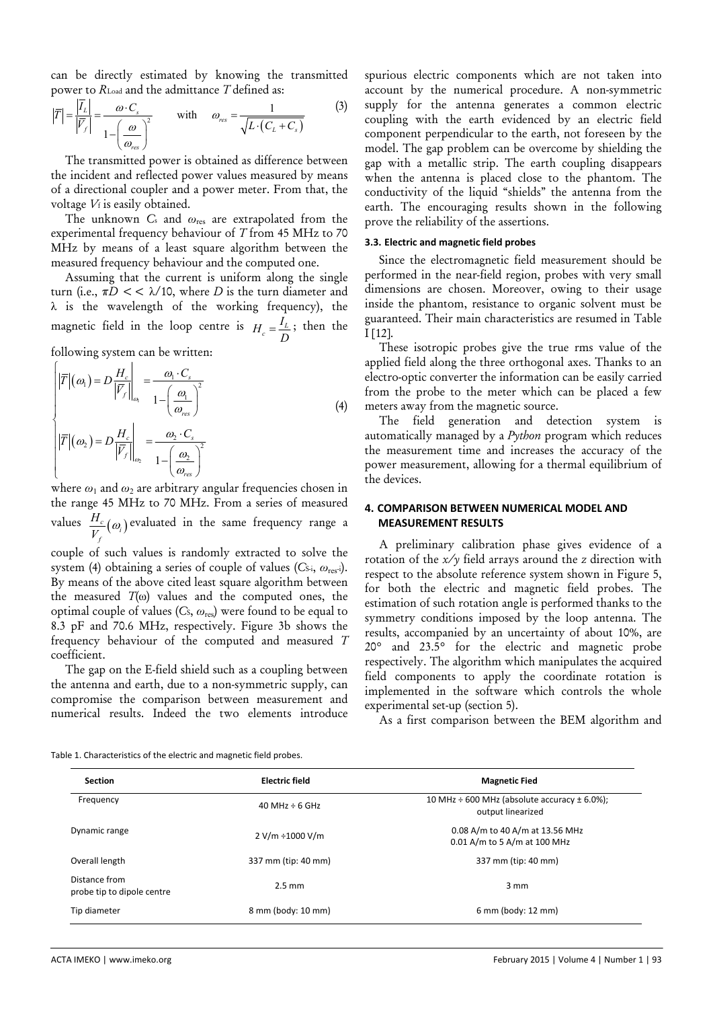can be directly estimated by knowing the transmitted power to *R*Load and the admittance *T* defined as:

$$
\left|\overline{T}\right| = \frac{\left|\overline{I}_L\right|}{\left|\overline{V}_f\right|} = \frac{\omega \cdot C_s}{1 - \left(\frac{\omega}{\omega_{res}}\right)^2} \qquad \text{with} \qquad \omega_{res} = \frac{1}{\sqrt{L \cdot (C_L + C_s)}} \tag{3}
$$

The transmitted power is obtained as difference between the incident and reflected power values measured by means of a directional coupler and a power meter. From that, the voltage *V*f is easily obtained.

The unknown *C*s and *ω*res are extrapolated from the experimental frequency behaviour of *T* from 45 MHz to 70 MHz by means of a least square algorithm between the measured frequency behaviour and the computed one.

Assuming that the current is uniform along the single turn (i.e., π*D* << λ/10, where *D* is the turn diameter and λ is the wavelength of the working frequency), the magnetic field in the loop centre is  $H_c = \frac{I_L}{D}$ ; then the

following system can be written:

$$
\begin{cases}\n\left|\overline{T}\right|(\omega_{1}) = D \frac{H_{c}}{\left|\overline{V}_{f}\right|_{\omega_{1}}} = \frac{\omega_{1} \cdot C_{s}}{1 - \left(\frac{\omega_{1}}{\omega_{res}}\right)^{2}} \\
\left|\overline{T}\right|(\omega_{2}) = D \frac{H_{c}}{\left|\overline{V}_{f}\right|_{\omega_{2}}} = \frac{\omega_{2} \cdot C_{s}}{1 - \left(\frac{\omega_{2}}{\omega_{res}}\right)^{2}}\n\end{cases} (4)
$$

where *ω*1 and *ω*2 are arbitrary angular frequencies chosen in the range 45 MHz to 70 MHz. From a series of measured  $\text{values} \ \ \frac{H_c}{V_f}(\omega_i)$ *H V*  $\omega$ ) evaluated in the same frequency range a

couple of such values is randomly extracted to solve the system (4) obtaining a series of couple of values  $(C_{\rm S,i}, \omega_{\rm res-i})$ . By means of the above cited least square algorithm between the measured  $T(\omega)$  values and the computed ones, the optimal couple of values  $(C_s, \omega_{res})$  were found to be equal to 8.3 pF and 70.6 MHz, respectively. Figure 3b shows the frequency behaviour of the computed and measured *T*  coefficient.

The gap on the E-field shield such as a coupling between the antenna and earth, due to a non-symmetric supply, can compromise the comparison between measurement and numerical results. Indeed the two elements introduce

spurious electric components which are not taken into account by the numerical procedure. A non-symmetric supply for the antenna generates a common electric coupling with the earth evidenced by an electric field component perpendicular to the earth, not foreseen by the model. The gap problem can be overcome by shielding the gap with a metallic strip. The earth coupling disappears when the antenna is placed close to the phantom. The conductivity of the liquid "shields" the antenna from the earth. The encouraging results shown in the following prove the reliability of the assertions.

#### **3.3. Electric and magnetic field probes**

Since the electromagnetic field measurement should be performed in the near-field region, probes with very small dimensions are chosen. Moreover, owing to their usage inside the phantom, resistance to organic solvent must be guaranteed. Their main characteristics are resumed in Table I [12].

These isotropic probes give the true rms value of the applied field along the three orthogonal axes. Thanks to an electro-optic converter the information can be easily carried from the probe to the meter which can be placed a few meters away from the magnetic source.

The field generation and detection system is automatically managed by a *Python* program which reduces the measurement time and increases the accuracy of the power measurement, allowing for a thermal equilibrium of the devices.

# **4. COMPARISON BETWEEN NUMERICAL MODEL AND MEASUREMENT RESULTS**

A preliminary calibration phase gives evidence of a rotation of the *x/y* field arrays around the *z* direction with respect to the absolute reference system shown in Figure 5, for both the electric and magnetic field probes. The estimation of such rotation angle is performed thanks to the symmetry conditions imposed by the loop antenna. The results, accompanied by an uncertainty of about 10%, are 20° and 23.5° for the electric and magnetic probe respectively. The algorithm which manipulates the acquired field components to apply the coordinate rotation is implemented in the software which controls the whole experimental set-up (section 5).

As a first comparison between the BEM algorithm and

Table 1. Characteristics of the electric and magnetic field probes.

| <b>Section</b>                              | <b>Electric field</b> | <b>Magnetic Fied</b>                                                       |
|---------------------------------------------|-----------------------|----------------------------------------------------------------------------|
| Frequency                                   | 40 MHz $\div$ 6 GHz   | 10 MHz $\div$ 600 MHz (absolute accuracy $\pm$ 6.0%);<br>output linearized |
| Dynamic range                               | $2 V/m \div 1000 V/m$ | 0.08 A/m to 40 A/m at 13.56 MHz<br>0.01 A/m to 5 A/m at 100 MHz            |
| Overall length                              | 337 mm (tip: 40 mm)   | 337 mm (tip: 40 mm)                                                        |
| Distance from<br>probe tip to dipole centre | $2.5 \text{ mm}$      | $3 \, \text{mm}$                                                           |
| Tip diameter                                | 8 mm (body: 10 mm)    | 6 mm (body: 12 mm)                                                         |
|                                             |                       |                                                                            |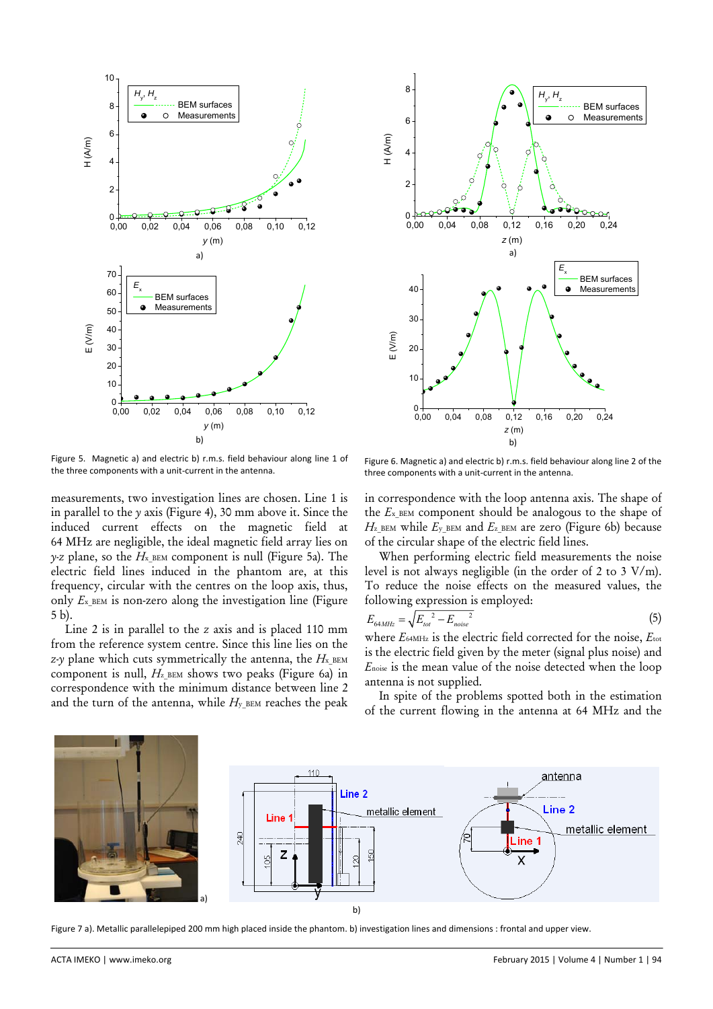



Figure 5. Magnetic a) and electric b) r.m.s. field behaviour along line 1 of the three components with a unit‐current in the antenna.

measurements, two investigation lines are chosen. Line 1 is in parallel to the *y* axis (Figure 4), 30 mm above it. Since the induced current effects on the magnetic field at 64 MHz are negligible, the ideal magnetic field array lies on *y-z* plane, so the  $H_{\text{x,BEM}}$  component is null (Figure 5a). The electric field lines induced in the phantom are, at this frequency, circular with the centres on the loop axis, thus, only  $E_{\rm x,BEM}$  is non-zero along the investigation line (Figure 5 b).

Line 2 is in parallel to the *z* axis and is placed 110 mm from the reference system centre. Since this line lies on the *z-y* plane which cuts symmetrically the antenna, the  $H_{\text{x\_BEM}}$ component is null,  $H_{z}$ \_BEM shows two peaks (Figure 6a) in correspondence with the minimum distance between line 2 and the turn of the antenna, while  $H_y$ <sub>BEM</sub> reaches the peak

Figure 6. Magnetic a) and electric b) r.m.s. field behaviour along line 2 of the three components with a unit‐current in the antenna.

in correspondence with the loop antenna axis. The shape of the *E*x\_BEM component should be analogous to the shape of  $H_z$ <sub>BEM</sub> while  $E_y$ <sub>BEM</sub> and  $E_z$ <sub>BEM</sub> are zero (Figure 6b) because of the circular shape of the electric field lines.

When performing electric field measurements the noise level is not always negligible (in the order of 2 to 3 V/m). To reduce the noise effects on the measured values, the following expression is employed:

$$
E_{64MHz} = \sqrt{E_{tot}^2 - E_{noise}^2}
$$
 (5)

where *E*64MHz is the electric field corrected for the noise, *E*tot is the electric field given by the meter (signal plus noise) and *E*noise is the mean value of the noise detected when the loop antenna is not supplied.

In spite of the problems spotted both in the estimation of the current flowing in the antenna at 64 MHz and the



Figure 7 a). Metallic parallelepiped 200 mm high placed inside the phantom. b) investigation lines and dimensions : frontal and upper view.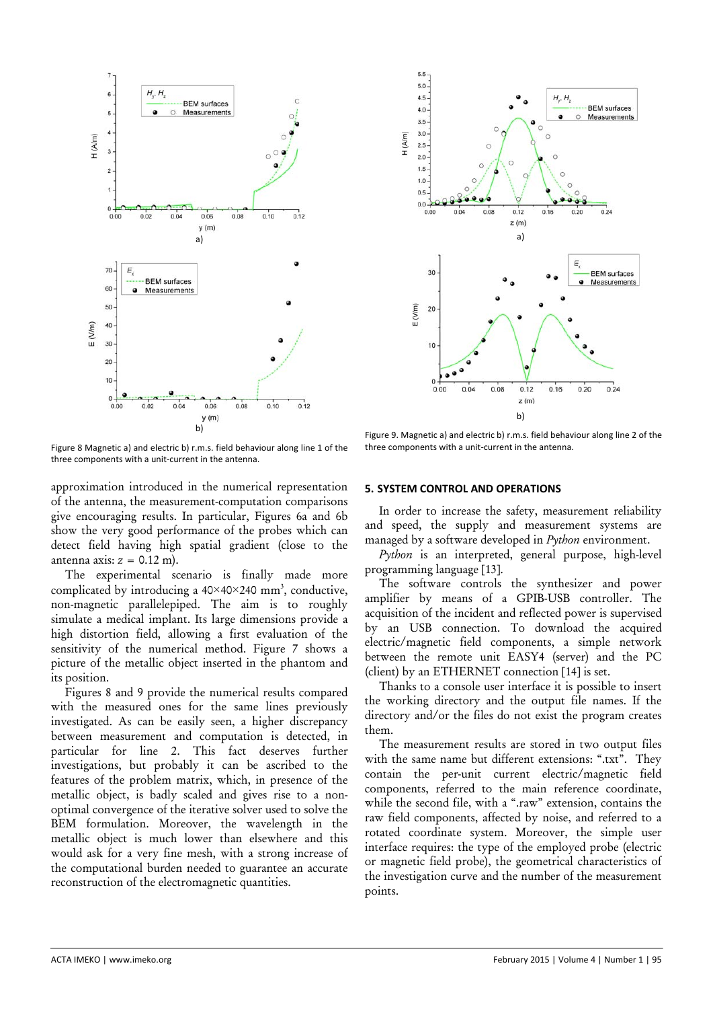

Figure 8 Magnetic a) and electric b) r.m.s. field behaviour along line 1 of the three components with a unit‐current in the antenna.



Figure 9. Magnetic a) and electric b) r.m.s. field behaviour along line 2 of the three components with a unit‐current in the antenna.

approximation introduced in the numerical representation of the antenna, the measurement-computation comparisons give encouraging results. In particular, Figures 6a and 6b show the very good performance of the probes which can detect field having high spatial gradient (close to the antenna axis:  $z = 0.12$  m).

The experimental scenario is finally made more complicated by introducing a  $40 \times 40 \times 240$  mm<sup>3</sup>, conductive, non-magnetic parallelepiped. The aim is to roughly simulate a medical implant. Its large dimensions provide a high distortion field, allowing a first evaluation of the sensitivity of the numerical method. Figure 7 shows a picture of the metallic object inserted in the phantom and its position.

Figures 8 and 9 provide the numerical results compared with the measured ones for the same lines previously investigated. As can be easily seen, a higher discrepancy between measurement and computation is detected, in particular for line 2. This fact deserves further investigations, but probably it can be ascribed to the features of the problem matrix, which, in presence of the metallic object, is badly scaled and gives rise to a nonoptimal convergence of the iterative solver used to solve the BEM formulation. Moreover, the wavelength in the metallic object is much lower than elsewhere and this would ask for a very fine mesh, with a strong increase of the computational burden needed to guarantee an accurate reconstruction of the electromagnetic quantities.

# **5. SYSTEM CONTROL AND OPERATIONS**

In order to increase the safety, measurement reliability and speed, the supply and measurement systems are managed by a software developed in *Python* environment.

*Python* is an interpreted, general purpose, high-level programming language [13].

The software controls the synthesizer and power amplifier by means of a GPIB-USB controller. The acquisition of the incident and reflected power is supervised by an USB connection. To download the acquired electric/magnetic field components, a simple network between the remote unit EASY4 (server) and the PC (client) by an ETHERNET connection [14] is set.

Thanks to a console user interface it is possible to insert the working directory and the output file names. If the directory and/or the files do not exist the program creates them.

The measurement results are stored in two output files with the same name but different extensions: ".txt". They contain the per-unit current electric/magnetic field components, referred to the main reference coordinate, while the second file, with a ".raw" extension, contains the raw field components, affected by noise, and referred to a rotated coordinate system. Moreover, the simple user interface requires: the type of the employed probe (electric or magnetic field probe), the geometrical characteristics of the investigation curve and the number of the measurement points.